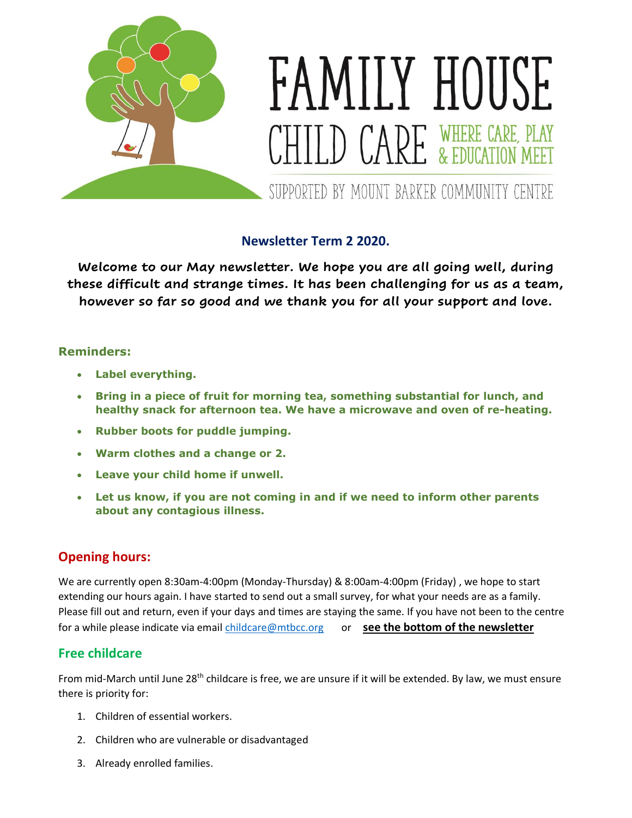

## **Newsletter Term 2 2020.**

**Welcome to our May newsletter. We hope you are all going well, during these difficult and strange times. It has been challenging for us as a team, however so far so good and we thank you for all your support and love.**

#### **Reminders:**

- **Label everything.**
- **Bring in a piece of fruit for morning tea, something substantial for lunch, and healthy snack for afternoon tea. We have a microwave and oven of re-heating.**
- **Rubber boots for puddle jumping.**
- **Warm clothes and a change or 2.**
- **Leave your child home if unwell.**
- **Let us know, if you are not coming in and if we need to inform other parents about any contagious illness.**

### **Opening hours:**

We are currently open 8:30am-4:00pm (Monday-Thursday) & 8:00am-4:00pm (Friday) , we hope to start extending our hours again. I have started to send out a small survey, for what your needs are as a family. Please fill out and return, even if your days and times are staying the same. If you have not been to the centre for a while please indicate via email [childcare@mtbcc.org](mailto:childcare@mtbcc.org) or **see the bottom of the newsletter** 

### **Free childcare**

From mid-March until June 28<sup>th</sup> childcare is free, we are unsure if it will be extended. By law, we must ensure there is priority for:

- 1. Children of essential workers.
- 2. Children who are vulnerable or disadvantaged
- 3. Already enrolled families.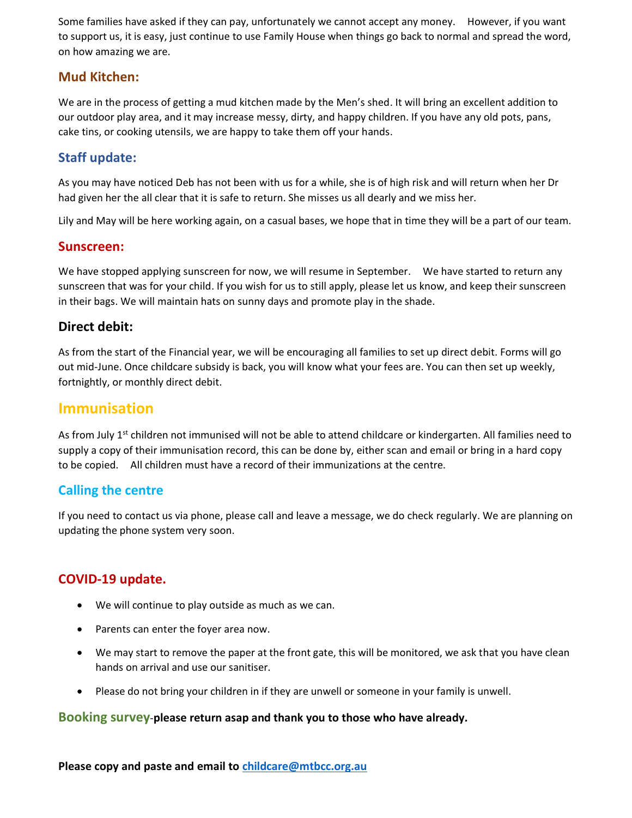Some families have asked if they can pay, unfortunately we cannot accept any money. However, if you want to support us, it is easy, just continue to use Family House when things go back to normal and spread the word, on how amazing we are.

## **Mud Kitchen:**

We are in the process of getting a mud kitchen made by the Men's shed. It will bring an excellent addition to our outdoor play area, and it may increase messy, dirty, and happy children. If you have any old pots, pans, cake tins, or cooking utensils, we are happy to take them off your hands.

## **Staff update:**

As you may have noticed Deb has not been with us for a while, she is of high risk and will return when her Dr had given her the all clear that it is safe to return. She misses us all dearly and we miss her.

Lily and May will be here working again, on a casual bases, we hope that in time they will be a part of our team.

#### **Sunscreen:**

We have stopped applying sunscreen for now, we will resume in September. We have started to return any sunscreen that was for your child. If you wish for us to still apply, please let us know, and keep their sunscreen in their bags. We will maintain hats on sunny days and promote play in the shade.

#### **Direct debit:**

As from the start of the Financial year, we will be encouraging all families to set up direct debit. Forms will go out mid-June. Once childcare subsidy is back, you will know what your fees are. You can then set up weekly, fortnightly, or monthly direct debit.

## **Immunisation**

As from July  $1<sup>st</sup>$  children not immunised will not be able to attend childcare or kindergarten. All families need to supply a copy of their immunisation record, this can be done by, either scan and email or bring in a hard copy to be copied. All children must have a record of their immunizations at the centre.

### **Calling the centre**

If you need to contact us via phone, please call and leave a message, we do check regularly. We are planning on updating the phone system very soon.

## **COVID-19 update.**

- We will continue to play outside as much as we can.
- Parents can enter the foyer area now.
- We may start to remove the paper at the front gate, this will be monitored, we ask that you have clean hands on arrival and use our sanitiser.
- Please do not bring your children in if they are unwell or someone in your family is unwell.

#### **Booking survey**-**please return asap and thank you to those who have already.**